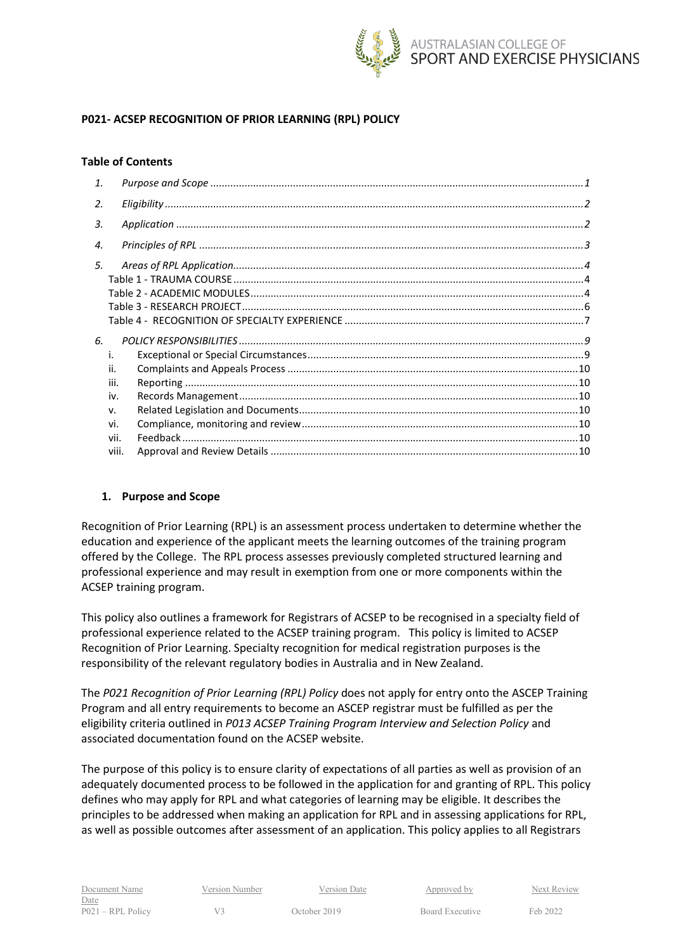

## **P021- ACSEP RECOGNITION OF PRIOR LEARNING (RPL) POLICY**

### **Table of Contents**

| 1.    |  |
|-------|--|
| 2.    |  |
| 3.    |  |
| 4.    |  |
| 5.    |  |
|       |  |
|       |  |
|       |  |
|       |  |
| 6.    |  |
|       |  |
| ii.   |  |
| iii.  |  |
| iv.   |  |
| v.    |  |
| vi.   |  |
| vii.  |  |
| viii. |  |
|       |  |

### <span id="page-0-0"></span>**1. Purpose and Scope**

Recognition of Prior Learning (RPL) is an assessment process undertaken to determine whether the education and experience of the applicant meets the learning outcomes of the training program offered by the College. The RPL process assesses previously completed structured learning and professional experience and may result in exemption from one or more components within the ACSEP training program.

This policy also outlines a framework for Registrars of ACSEP to be recognised in a specialty field of professional experience related to the ACSEP training program. This policy is limited to ACSEP Recognition of Prior Learning. Specialty recognition for medical registration purposes is the responsibility of the relevant regulatory bodies in Australia and in New Zealand.

The *P021 Recognition of Prior Learning (RPL) Policy* does not apply for entry onto the ASCEP Training Program and all entry requirements to become an ASCEP registrar must be fulfilled as per the eligibility criteria outlined in *P013 ACSEP Training Program Interview and Selection Policy* and associated documentation found on the ACSEP website.

The purpose of this policy is to ensure clarity of expectations of all parties as well as provision of an adequately documented process to be followed in the application for and granting of RPL. This policy defines who may apply for RPL and what categories of learning may be eligible. It describes the principles to be addressed when making an application for RPL and in assessing applications for RPL, as well as possible outcomes after assessment of an application. This policy applies to all Registrars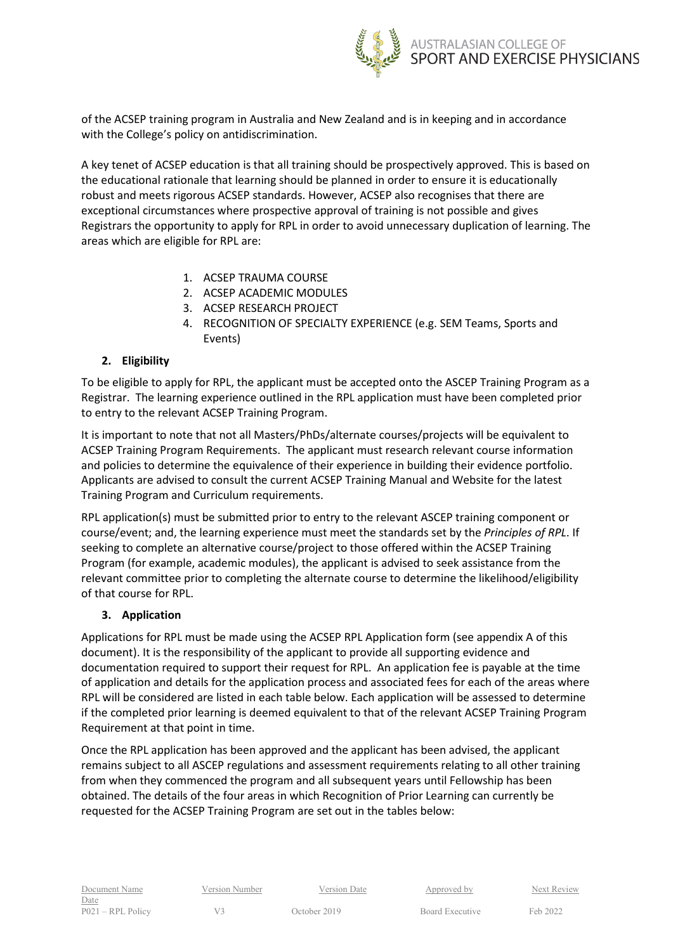

of the ACSEP training program in Australia and New Zealand and is in keeping and in accordance with the College's policy on antidiscrimination.

A key tenet of ACSEP education is that all training should be prospectively approved. This is based on the educational rationale that learning should be planned in order to ensure it is educationally robust and meets rigorous ACSEP standards. However, ACSEP also recognises that there are exceptional circumstances where prospective approval of training is not possible and gives Registrars the opportunity to apply for RPL in order to avoid unnecessary duplication of learning. The areas which are eligible for RPL are:

- 1. ACSEP TRAUMA COURSE
- 2. ACSEP ACADEMIC MODULES
- 3. ACSEP RESEARCH PROJECT
- 4. RECOGNITION OF SPECIALTY EXPERIENCE (e.g. SEM Teams, Sports and Events)

## <span id="page-1-0"></span>**2. Eligibility**

To be eligible to apply for RPL, the applicant must be accepted onto the ASCEP Training Program as a Registrar. The learning experience outlined in the RPL application must have been completed prior to entry to the relevant ACSEP Training Program.

It is important to note that not all Masters/PhDs/alternate courses/projects will be equivalent to ACSEP Training Program Requirements. The applicant must research relevant course information and policies to determine the equivalence of their experience in building their evidence portfolio. Applicants are advised to consult the current ACSEP Training Manual and Website for the latest Training Program and Curriculum requirements.

RPL application(s) must be submitted prior to entry to the relevant ASCEP training component or course/event; and, the learning experience must meet the standards set by the *Principles of RPL*. If seeking to complete an alternative course/project to those offered within the ACSEP Training Program (for example, academic modules), the applicant is advised to seek assistance from the relevant committee prior to completing the alternate course to determine the likelihood/eligibility of that course for RPL.

### <span id="page-1-1"></span>**3. Application**

Applications for RPL must be made using the ACSEP RPL Application form (see appendix A of this document). It is the responsibility of the applicant to provide all supporting evidence and documentation required to support their request for RPL. An application fee is payable at the time of application and details for the application process and associated fees for each of the areas where RPL will be considered are listed in each table below. Each application will be assessed to determine if the completed prior learning is deemed equivalent to that of the relevant ACSEP Training Program Requirement at that point in time.

Once the RPL application has been approved and the applicant has been advised, the applicant remains subject to all ASCEP regulations and assessment requirements relating to all other training from when they commenced the program and all subsequent years until Fellowship has been obtained. The details of the four areas in which Recognition of Prior Learning can currently be requested for the ACSEP Training Program are set out in the tables below: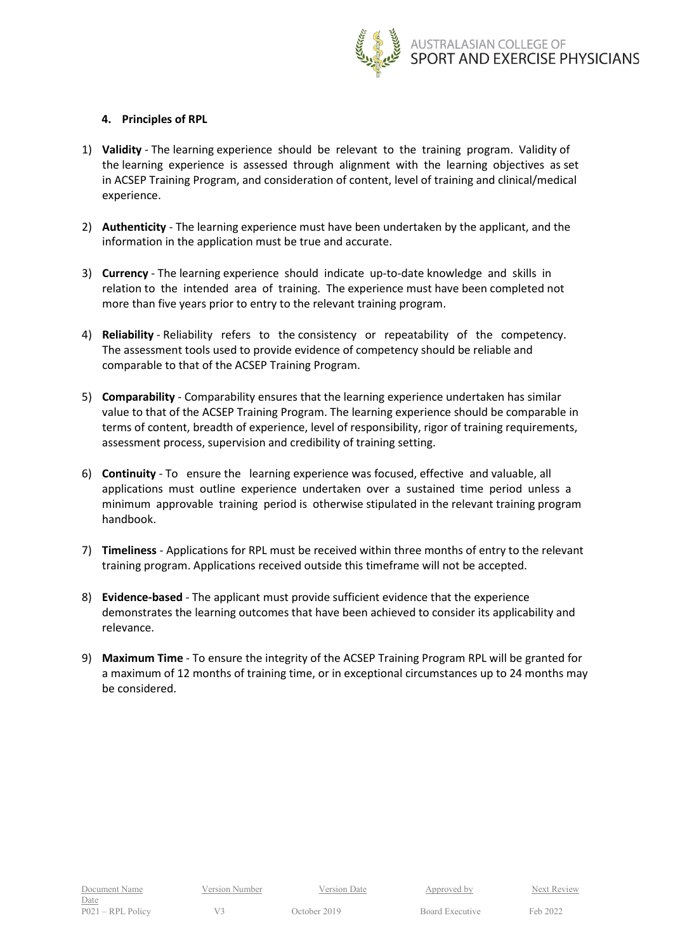

### <span id="page-2-0"></span>**4. Principles of RPL**

- 1) **Validity** The learning experience should be relevant to the training program. Validity of the learning experience is assessed through alignment with the learning objectives as set in ACSEP Training Program, and consideration of content, level of training and clinical/medical experience.
- 2) **Authenticity** The learning experience must have been undertaken by the applicant, and the information in the application must be true and accurate.
- 3) **Currency**  The learning experience should indicate up-to-date knowledge and skills in relation to the intended area of training. The experience must have been completed not more than five years prior to entry to the relevant training program.
- 4) **Reliability** Reliability refers to the consistency or repeatability of the competency. The assessment tools used to provide evidence of competency should be reliable and comparable to that of the ACSEP Training Program.
- 5) **Comparability** Comparability ensures that the learning experience undertaken has similar value to that of the ACSEP Training Program. The learning experience should be comparable in terms of content, breadth of experience, level of responsibility, rigor of training requirements, assessment process, supervision and credibility of training setting.
- 6) **Continuity** To ensure the learning experience was focused, effective and valuable, all applications must outline experience undertaken over a sustained time period unless a minimum approvable training period is otherwise stipulated in the relevant training program handbook.
- 7) **Timeliness** Applications for RPL must be received within three months of entry to the relevant training program. Applications received outside this timeframe will not be accepted.
- 8) **Evidence-based** The applicant must provide sufficient evidence that the experience demonstrates the learning outcomes that have been achieved to consider its applicability and relevance.
- 9) **Maximum Time** To ensure the integrity of the ACSEP Training Program RPL will be granted for a maximum of 12 months of training time, or in exceptional circumstances up to 24 months may be considered.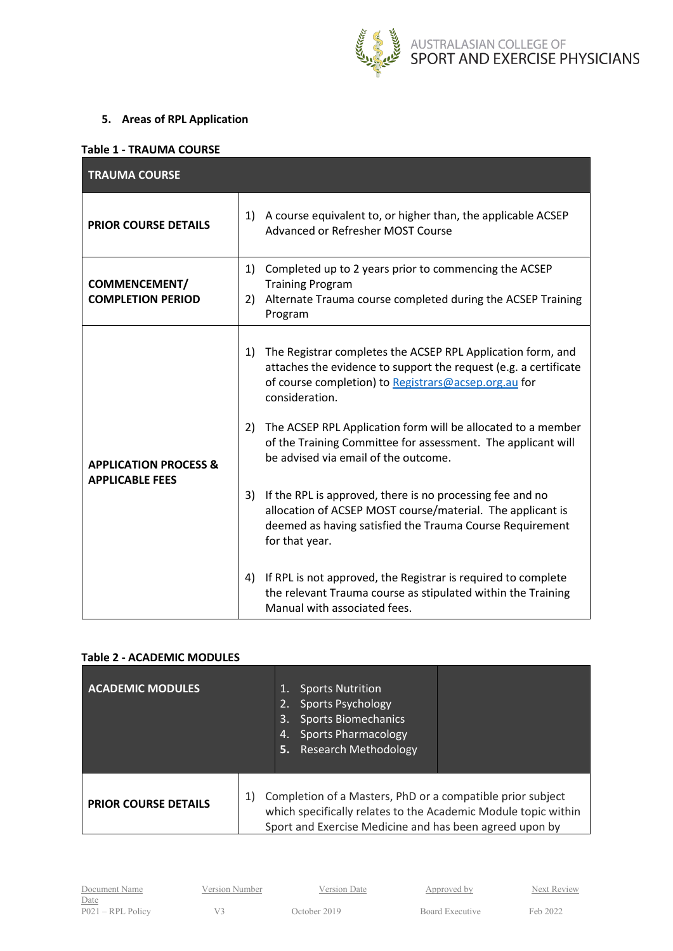

## <span id="page-3-0"></span>**5. Areas of RPL Application**

#### <span id="page-3-1"></span>**Table 1 - TRAUMA COURSE**

| <b>TRAUMA COURSE</b>                                       |                                                                                                                                                                                                                 |
|------------------------------------------------------------|-----------------------------------------------------------------------------------------------------------------------------------------------------------------------------------------------------------------|
| <b>PRIOR COURSE DETAILS</b>                                | 1) A course equivalent to, or higher than, the applicable ACSEP<br>Advanced or Refresher MOST Course                                                                                                            |
| <b>COMMENCEMENT/</b><br><b>COMPLETION PERIOD</b>           | 1) Completed up to 2 years prior to commencing the ACSEP<br><b>Training Program</b><br>2) Alternate Trauma course completed during the ACSEP Training<br>Program                                                |
|                                                            | The Registrar completes the ACSEP RPL Application form, and<br>1)<br>attaches the evidence to support the request (e.g. a certificate<br>of course completion) to Registrars@acsep.org.au for<br>consideration. |
| <b>APPLICATION PROCESS &amp;</b><br><b>APPLICABLE FEES</b> | 2) The ACSEP RPL Application form will be allocated to a member<br>of the Training Committee for assessment. The applicant will<br>be advised via email of the outcome.                                         |
|                                                            | 3) If the RPL is approved, there is no processing fee and no<br>allocation of ACSEP MOST course/material. The applicant is<br>deemed as having satisfied the Trauma Course Requirement<br>for that year.        |
|                                                            | If RPL is not approved, the Registrar is required to complete<br>4)<br>the relevant Trauma course as stipulated within the Training<br>Manual with associated fees.                                             |

# <span id="page-3-2"></span>**Table 2 - ACADEMIC MODULES**

| <b>ACADEMIC MODULES</b>     | <b>Sports Nutrition</b><br><b>Sports Psychology</b><br><b>Sports Biomechanics</b><br>3.<br><b>Sports Pharmacology</b><br>4.<br><b>Research Methodology</b><br>Б.,                             |
|-----------------------------|-----------------------------------------------------------------------------------------------------------------------------------------------------------------------------------------------|
| <b>PRIOR COURSE DETAILS</b> | Completion of a Masters, PhD or a compatible prior subject<br>1)<br>which specifically relates to the Academic Module topic within<br>Sport and Exercise Medicine and has been agreed upon by |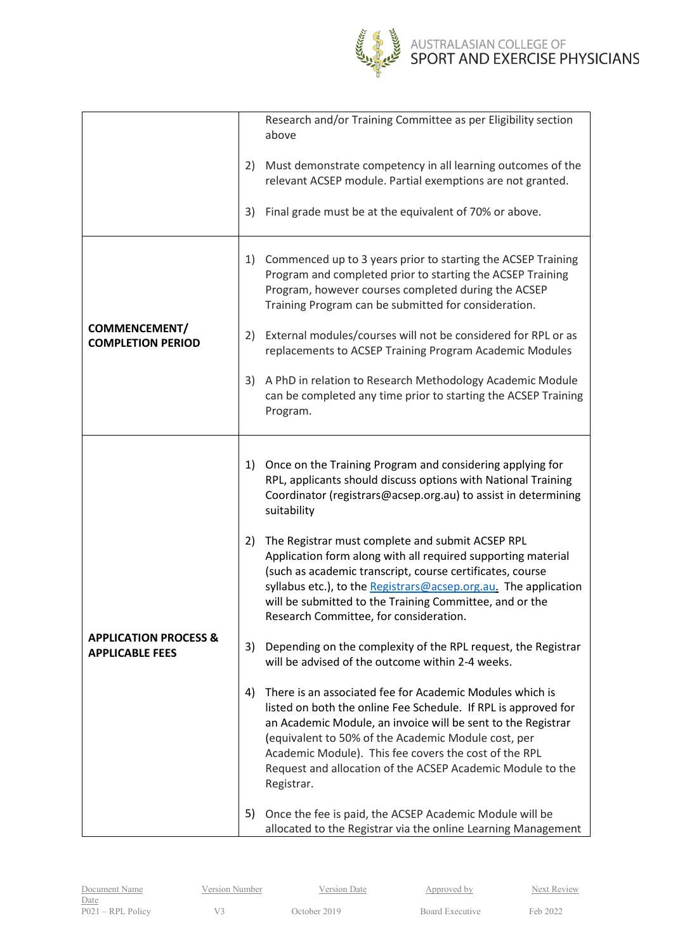

|                                                            |    | Research and/or Training Committee as per Eligibility section<br>above                                                                                                                                                                                                                                                                                                                 |
|------------------------------------------------------------|----|----------------------------------------------------------------------------------------------------------------------------------------------------------------------------------------------------------------------------------------------------------------------------------------------------------------------------------------------------------------------------------------|
|                                                            | 2) | Must demonstrate competency in all learning outcomes of the<br>relevant ACSEP module. Partial exemptions are not granted.                                                                                                                                                                                                                                                              |
|                                                            | 3) | Final grade must be at the equivalent of 70% or above.                                                                                                                                                                                                                                                                                                                                 |
|                                                            | 1) | Commenced up to 3 years prior to starting the ACSEP Training<br>Program and completed prior to starting the ACSEP Training<br>Program, however courses completed during the ACSEP<br>Training Program can be submitted for consideration.                                                                                                                                              |
| <b>COMMENCEMENT/</b><br><b>COMPLETION PERIOD</b>           | 2) | External modules/courses will not be considered for RPL or as<br>replacements to ACSEP Training Program Academic Modules                                                                                                                                                                                                                                                               |
|                                                            | 3) | A PhD in relation to Research Methodology Academic Module<br>can be completed any time prior to starting the ACSEP Training<br>Program.                                                                                                                                                                                                                                                |
|                                                            |    |                                                                                                                                                                                                                                                                                                                                                                                        |
|                                                            | 1) | Once on the Training Program and considering applying for<br>RPL, applicants should discuss options with National Training<br>Coordinator (registrars@acsep.org.au) to assist in determining<br>suitability                                                                                                                                                                            |
|                                                            | 2) | The Registrar must complete and submit ACSEP RPL<br>Application form along with all required supporting material<br>(such as academic transcript, course certificates, course<br>syllabus etc.), to the Registrars@acsep.org.au. The application<br>will be submitted to the Training Committee, and or the<br>Research Committee, for consideration.                                  |
| <b>APPLICATION PROCESS &amp;</b><br><b>APPLICABLE FEES</b> | 3) | Depending on the complexity of the RPL request, the Registrar<br>will be advised of the outcome within 2-4 weeks.                                                                                                                                                                                                                                                                      |
|                                                            | 4) | There is an associated fee for Academic Modules which is<br>listed on both the online Fee Schedule. If RPL is approved for<br>an Academic Module, an invoice will be sent to the Registrar<br>(equivalent to 50% of the Academic Module cost, per<br>Academic Module). This fee covers the cost of the RPL<br>Request and allocation of the ACSEP Academic Module to the<br>Registrar. |
|                                                            | 5) | Once the fee is paid, the ACSEP Academic Module will be<br>allocated to the Registrar via the online Learning Management                                                                                                                                                                                                                                                               |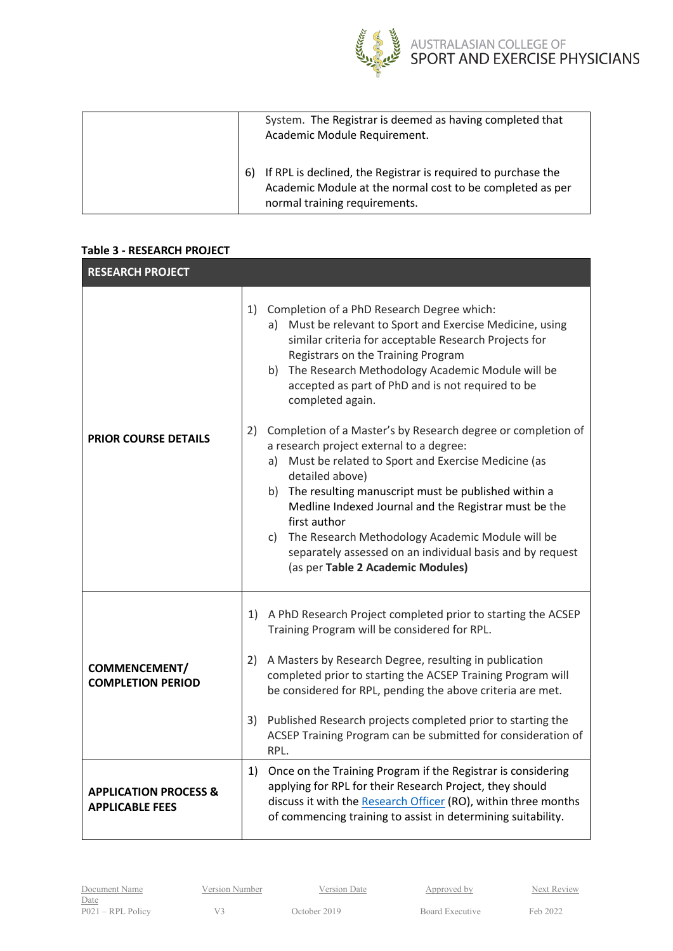

AUSTRALASIAN COLLEGE OF<br>SPORT AND EXERCISE PHYSICIANS

|  | System. The Registrar is deemed as having completed that<br>Academic Module Requirement.                                                                    |
|--|-------------------------------------------------------------------------------------------------------------------------------------------------------------|
|  | If RPL is declined, the Registrar is required to purchase the<br>Academic Module at the normal cost to be completed as per<br>normal training requirements. |

## <span id="page-5-0"></span>**Table 3 - RESEARCH PROJECT**

| <b>RESEARCH PROJECT</b>                                    |                                                                                                                                                                                                                                                                                                                                                                                                                                                                                     |  |
|------------------------------------------------------------|-------------------------------------------------------------------------------------------------------------------------------------------------------------------------------------------------------------------------------------------------------------------------------------------------------------------------------------------------------------------------------------------------------------------------------------------------------------------------------------|--|
|                                                            | 1)<br>Completion of a PhD Research Degree which:<br>a) Must be relevant to Sport and Exercise Medicine, using<br>similar criteria for acceptable Research Projects for<br>Registrars on the Training Program<br>b) The Research Methodology Academic Module will be<br>accepted as part of PhD and is not required to be<br>completed again.                                                                                                                                        |  |
| <b>PRIOR COURSE DETAILS</b>                                | 2) Completion of a Master's by Research degree or completion of<br>a research project external to a degree:<br>a) Must be related to Sport and Exercise Medicine (as<br>detailed above)<br>b) The resulting manuscript must be published within a<br>Medline Indexed Journal and the Registrar must be the<br>first author<br>c) The Research Methodology Academic Module will be<br>separately assessed on an individual basis and by request<br>(as per Table 2 Academic Modules) |  |
| <b>COMMENCEMENT/</b><br><b>COMPLETION PERIOD</b>           | 1) A PhD Research Project completed prior to starting the ACSEP<br>Training Program will be considered for RPL.<br>2) A Masters by Research Degree, resulting in publication<br>completed prior to starting the ACSEP Training Program will<br>be considered for RPL, pending the above criteria are met.<br>3) Published Research projects completed prior to starting the<br>ACSEP Training Program can be submitted for consideration of<br>RPL.                                 |  |
| <b>APPLICATION PROCESS &amp;</b><br><b>APPLICABLE FEES</b> | 1)<br>Once on the Training Program if the Registrar is considering<br>applying for RPL for their Research Project, they should<br>discuss it with the Research Officer (RO), within three months<br>of commencing training to assist in determining suitability.                                                                                                                                                                                                                    |  |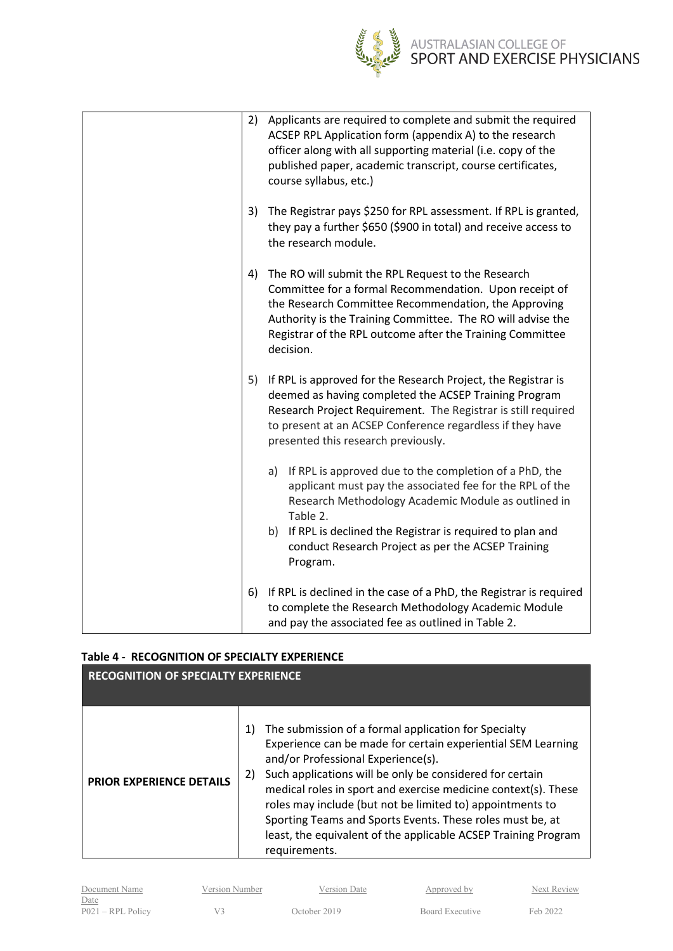

| 2) | Applicants are required to complete and submit the required<br>ACSEP RPL Application form (appendix A) to the research<br>officer along with all supporting material (i.e. copy of the<br>published paper, academic transcript, course certificates,<br>course syllabus, etc.)                                            |
|----|---------------------------------------------------------------------------------------------------------------------------------------------------------------------------------------------------------------------------------------------------------------------------------------------------------------------------|
| 3) | The Registrar pays \$250 for RPL assessment. If RPL is granted,<br>they pay a further \$650 (\$900 in total) and receive access to<br>the research module.                                                                                                                                                                |
| 4) | The RO will submit the RPL Request to the Research<br>Committee for a formal Recommendation. Upon receipt of<br>the Research Committee Recommendation, the Approving<br>Authority is the Training Committee. The RO will advise the<br>Registrar of the RPL outcome after the Training Committee<br>decision.             |
| 5) | If RPL is approved for the Research Project, the Registrar is<br>deemed as having completed the ACSEP Training Program<br>Research Project Requirement. The Registrar is still required<br>to present at an ACSEP Conference regardless if they have<br>presented this research previously.                               |
|    | a) If RPL is approved due to the completion of a PhD, the<br>applicant must pay the associated fee for the RPL of the<br>Research Methodology Academic Module as outlined in<br>Table 2.<br>b) If RPL is declined the Registrar is required to plan and<br>conduct Research Project as per the ACSEP Training<br>Program. |
| 6) | If RPL is declined in the case of a PhD, the Registrar is required<br>to complete the Research Methodology Academic Module<br>and pay the associated fee as outlined in Table 2.                                                                                                                                          |

## <span id="page-6-0"></span>**Table 4 - RECOGNITION OF SPECIALTY EXPERIENCE**

| <b>RECOGNITION OF SPECIALTY EXPERIENCE</b> |                                                                                                                                                                                                                                                                                                                                                                                                                                                                                                                   |  |  |
|--------------------------------------------|-------------------------------------------------------------------------------------------------------------------------------------------------------------------------------------------------------------------------------------------------------------------------------------------------------------------------------------------------------------------------------------------------------------------------------------------------------------------------------------------------------------------|--|--|
| <b>PRIOR EXPERIENCE DETAILS</b>            | The submission of a formal application for Specialty<br>1)<br>Experience can be made for certain experiential SEM Learning<br>and/or Professional Experience(s).<br>Such applications will be only be considered for certain<br>2)<br>medical roles in sport and exercise medicine context(s). These<br>roles may include (but not be limited to) appointments to<br>Sporting Teams and Sports Events. These roles must be, at<br>least, the equivalent of the applicable ACSEP Training Program<br>requirements. |  |  |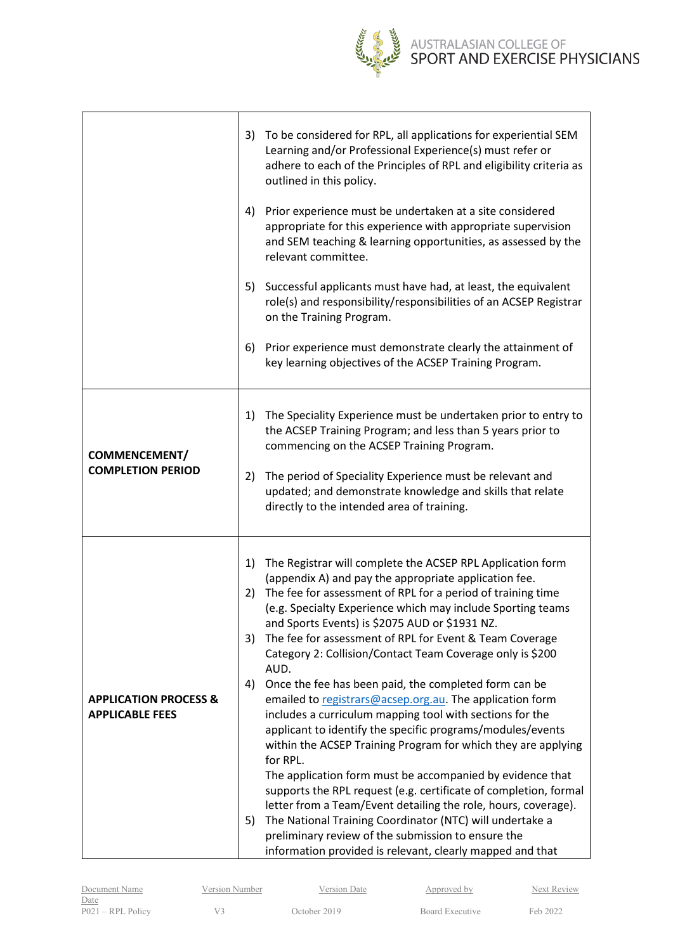

# AUSTRALASIAN COLLEGE OF<br>SPORT AND EXERCISE PHYSICIANS

|                                                            | 3)             | To be considered for RPL, all applications for experiential SEM<br>Learning and/or Professional Experience(s) must refer or<br>adhere to each of the Principles of RPL and eligibility criteria as<br>outlined in this policy.                                                                                                                                                                                                                                                                                                                                                                                                                                                                             |
|------------------------------------------------------------|----------------|------------------------------------------------------------------------------------------------------------------------------------------------------------------------------------------------------------------------------------------------------------------------------------------------------------------------------------------------------------------------------------------------------------------------------------------------------------------------------------------------------------------------------------------------------------------------------------------------------------------------------------------------------------------------------------------------------------|
|                                                            | 4)             | Prior experience must be undertaken at a site considered<br>appropriate for this experience with appropriate supervision<br>and SEM teaching & learning opportunities, as assessed by the<br>relevant committee.                                                                                                                                                                                                                                                                                                                                                                                                                                                                                           |
|                                                            | 5)             | Successful applicants must have had, at least, the equivalent<br>role(s) and responsibility/responsibilities of an ACSEP Registrar<br>on the Training Program.                                                                                                                                                                                                                                                                                                                                                                                                                                                                                                                                             |
|                                                            | 6)             | Prior experience must demonstrate clearly the attainment of<br>key learning objectives of the ACSEP Training Program.                                                                                                                                                                                                                                                                                                                                                                                                                                                                                                                                                                                      |
| <b>COMMENCEMENT/</b>                                       | 1)             | The Speciality Experience must be undertaken prior to entry to<br>the ACSEP Training Program; and less than 5 years prior to<br>commencing on the ACSEP Training Program.                                                                                                                                                                                                                                                                                                                                                                                                                                                                                                                                  |
| <b>COMPLETION PERIOD</b>                                   | 2)             | The period of Speciality Experience must be relevant and<br>updated; and demonstrate knowledge and skills that relate<br>directly to the intended area of training.                                                                                                                                                                                                                                                                                                                                                                                                                                                                                                                                        |
|                                                            | 1)<br>2)<br>3) | The Registrar will complete the ACSEP RPL Application form<br>(appendix A) and pay the appropriate application fee.<br>The fee for assessment of RPL for a period of training time<br>(e.g. Specialty Experience which may include Sporting teams<br>and Sports Events) is \$2075 AUD or \$1931 NZ.<br>The fee for assessment of RPL for Event & Team Coverage<br>Category 2: Collision/Contact Team Coverage only is \$200<br>AUD.                                                                                                                                                                                                                                                                        |
| <b>APPLICATION PROCESS &amp;</b><br><b>APPLICABLE FEES</b> | 4)<br>5)       | Once the fee has been paid, the completed form can be<br>emailed to registrars@acsep.org.au. The application form<br>includes a curriculum mapping tool with sections for the<br>applicant to identify the specific programs/modules/events<br>within the ACSEP Training Program for which they are applying<br>for RPL.<br>The application form must be accompanied by evidence that<br>supports the RPL request (e.g. certificate of completion, formal<br>letter from a Team/Event detailing the role, hours, coverage).<br>The National Training Coordinator (NTC) will undertake a<br>preliminary review of the submission to ensure the<br>information provided is relevant, clearly mapped and that |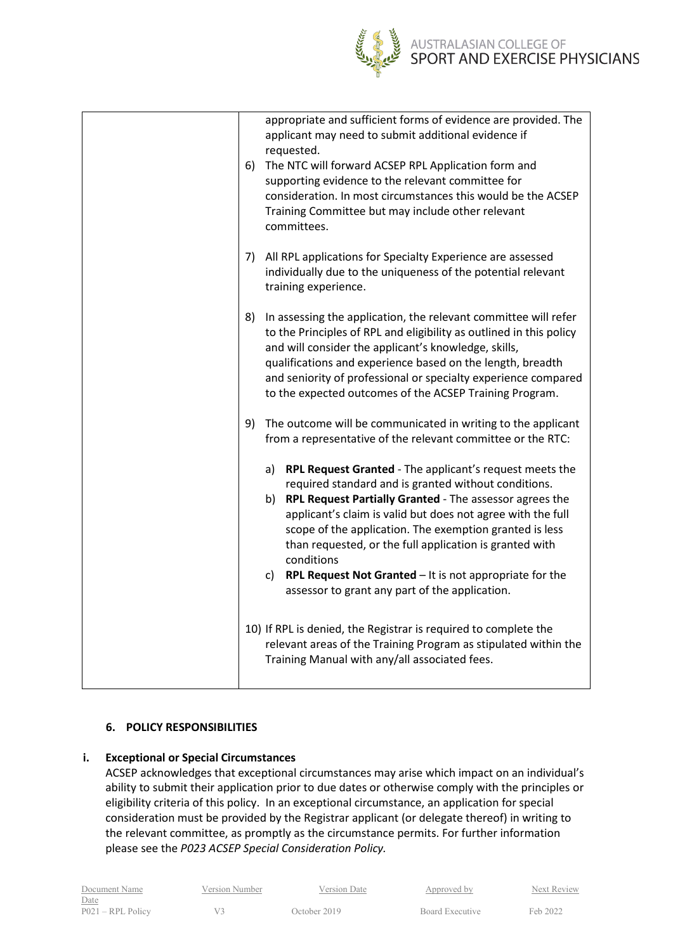

|    | appropriate and sufficient forms of evidence are provided. The<br>applicant may need to submit additional evidence if<br>requested.<br>6) The NTC will forward ACSEP RPL Application form and<br>supporting evidence to the relevant committee for<br>consideration. In most circumstances this would be the ACSEP<br>Training Committee but may include other relevant<br>committees.                                                                                                                |
|----|-------------------------------------------------------------------------------------------------------------------------------------------------------------------------------------------------------------------------------------------------------------------------------------------------------------------------------------------------------------------------------------------------------------------------------------------------------------------------------------------------------|
|    | 7) All RPL applications for Specialty Experience are assessed<br>individually due to the uniqueness of the potential relevant<br>training experience.                                                                                                                                                                                                                                                                                                                                                 |
|    | 8) In assessing the application, the relevant committee will refer<br>to the Principles of RPL and eligibility as outlined in this policy<br>and will consider the applicant's knowledge, skills,<br>qualifications and experience based on the length, breadth<br>and seniority of professional or specialty experience compared<br>to the expected outcomes of the ACSEP Training Program.                                                                                                          |
| 9) | The outcome will be communicated in writing to the applicant<br>from a representative of the relevant committee or the RTC:                                                                                                                                                                                                                                                                                                                                                                           |
|    | a) RPL Request Granted - The applicant's request meets the<br>required standard and is granted without conditions.<br>b) RPL Request Partially Granted - The assessor agrees the<br>applicant's claim is valid but does not agree with the full<br>scope of the application. The exemption granted is less<br>than requested, or the full application is granted with<br>conditions<br>c) RPL Request Not Granted $-$ It is not appropriate for the<br>assessor to grant any part of the application. |
|    | 10) If RPL is denied, the Registrar is required to complete the<br>relevant areas of the Training Program as stipulated within the<br>Training Manual with any/all associated fees.                                                                                                                                                                                                                                                                                                                   |

## <span id="page-8-0"></span>**6. POLICY RESPONSIBILITIES**

## <span id="page-8-1"></span>**i. Exceptional or Special Circumstances**

ACSEP acknowledges that exceptional circumstances may arise which impact on an individual's ability to submit their application prior to due dates or otherwise comply with the principles or eligibility criteria of this policy. In an exceptional circumstance, an application for special consideration must be provided by the Registrar applicant (or delegate thereof) in writing to the relevant committee, as promptly as the circumstance permits. For further information please see the *P023 ACSEP Special Consideration Policy.*

| Document Name       | Version Number | Version Date | Approved by     | Next Rey |
|---------------------|----------------|--------------|-----------------|----------|
| Date                |                |              |                 |          |
| $P021 - RPL$ Policy |                | October 2019 | Board Executive | Feb 2022 |

Next Review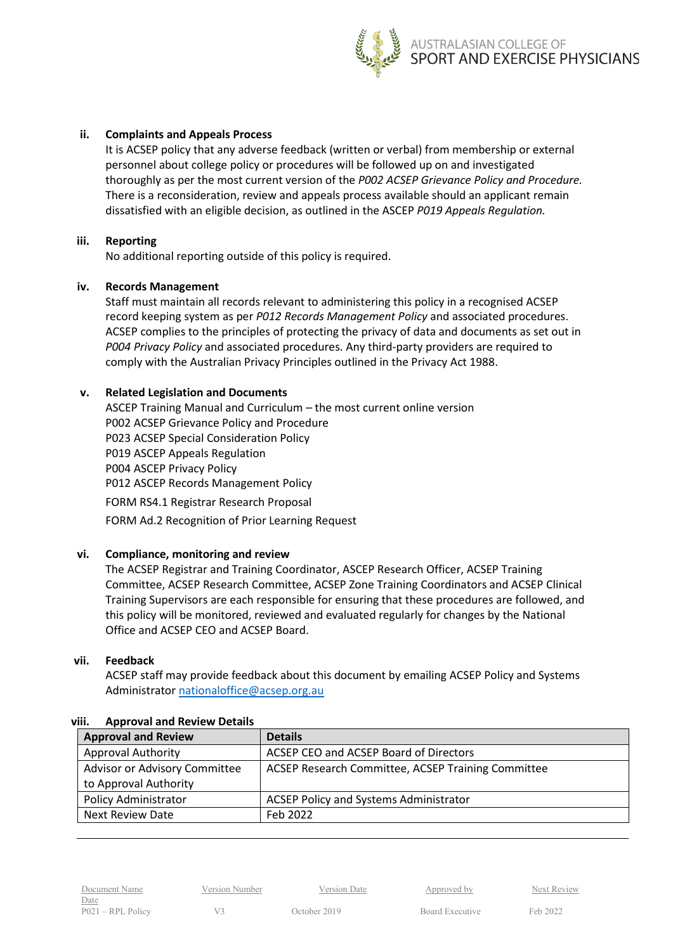

### <span id="page-9-0"></span>**ii. Complaints and Appeals Process**

It is ACSEP policy that any adverse feedback (written or verbal) from membership or external personnel about college policy or procedures will be followed up on and investigated thoroughly as per the most current version of the *P002 ACSEP Grievance Policy and Procedure.* There is a reconsideration, review and appeals process available should an applicant remain dissatisfied with an eligible decision, as outlined in the ASCEP *P019 Appeals Regulation.*

### <span id="page-9-1"></span>**iii. Reporting**

No additional reporting outside of this policy is required.

## <span id="page-9-2"></span>**iv. Records Management**

Staff must maintain all records relevant to administering this policy in a recognised ACSEP record keeping system as per *P012 Records Management Policy* and associated procedures. ACSEP complies to the principles of protecting the privacy of data and documents as set out in *P004 Privacy Policy* and associated procedures. Any third-party providers are required to comply with the Australian Privacy Principles outlined in the Privacy Act 1988.

## <span id="page-9-3"></span>**v. Related Legislation and Documents**

ASCEP Training Manual and Curriculum – the most current online version P002 ACSEP Grievance Policy and Procedure P023 ACSEP Special Consideration Policy P019 ASCEP Appeals Regulation P004 ASCEP Privacy Policy P012 ASCEP Records Management Policy FORM RS4.1 Registrar Research Proposal FORM Ad.2 Recognition of Prior Learning Request

### <span id="page-9-4"></span>**vi. Compliance, monitoring and review**

The ACSEP Registrar and Training Coordinator, ASCEP Research Officer, ACSEP Training Committee, ACSEP Research Committee, ACSEP Zone Training Coordinators and ACSEP Clinical Training Supervisors are each responsible for ensuring that these procedures are followed, and this policy will be monitored, reviewed and evaluated regularly for changes by the National Office and ACSEP CEO and ACSEP Board.

## <span id="page-9-5"></span>**vii. Feedback**

ACSEP staff may provide feedback about this document by emailing ACSEP Policy and Systems Administrator [nationaloffice@acsep.org.au](mailto:nationaloffice@acsep.org.au)

| <b>Approval and Review</b>    | <b>Details</b>                                     |
|-------------------------------|----------------------------------------------------|
| <b>Approval Authority</b>     | ACSEP CEO and ACSEP Board of Directors             |
| Advisor or Advisory Committee | ACSEP Research Committee, ACSEP Training Committee |
| to Approval Authority         |                                                    |
| <b>Policy Administrator</b>   | <b>ACSEP Policy and Systems Administrator</b>      |
| <b>Next Review Date</b>       | Feb 2022                                           |

### <span id="page-9-6"></span>**viii. Approval and Review Details**

Date P021 – RPL Policy V3 October 2019 Board Executive Feb 2022

Document Name Version Number Version Date Approved by Next Review